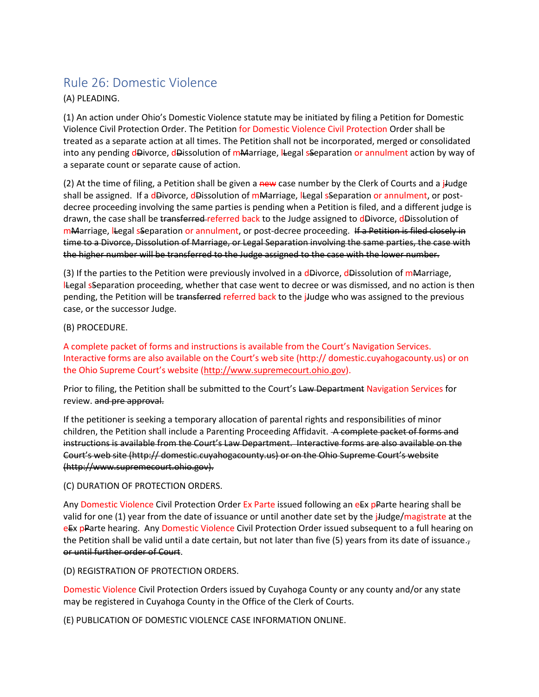## Rule 26: Domestic Violence

## (A) PLEADING.

(1) An action under Ohio's Domestic Violence statute may be initiated by filing a Petition for Domestic Violence Civil Protection Order. The Petition for Domestic Violence Civil Protection Order shall be treated as a separate action at all times. The Petition shall not be incorporated, merged or consolidated into any pending dDivorce, dDissolution of mMarriage, lLegal sSeparation or annulment action by way of a separate count or separate cause of action.

(2) At the time of filing, a Petition shall be given a new case number by the Clerk of Courts and a j-udge shall be assigned. If a dDivorce, dDissolution of mMarriage, lLegal sSeparation or annulment, or postdecree proceeding involving the same parties is pending when a Petition is filed, and a different judge is drawn, the case shall be transferred referred back to the Judge assigned to dDivorce, dDissolution of mMarriage, lLegal sSeparation or annulment, or post-decree proceeding. If a Petition is filed closely in time to a Divorce, Dissolution of Marriage, or Legal Separation involving the same parties, the case with the higher number will be transferred to the Judge assigned to the case with the lower number.

(3) If the parties to the Petition were previously involved in a dDivorce, dDissolution of mMarriage, lLegal sSeparation proceeding, whether that case went to decree or was dismissed, and no action is then pending, the Petition will be transferred referred back to the j-ludge who was assigned to the previous case, or the successor Judge.

## (B) PROCEDURE.

A complete packet of forms and instructions is available from the Court's Navigation Services. Interactive forms are also available on the Court's web site (http:// domestic.cuyahogacounty.us) or on the Ohio Supreme Court's website ([http://www.supremecourt.ohio.gov\)](http://www.supremecourt.ohio.gov/).

Prior to filing, the Petition shall be submitted to the Court's Law Department Navigation Services for review. and pre approval.

If the petitioner is seeking a temporary allocation of parental rights and responsibilities of minor children, the Petition shall include a Parenting Proceeding Affidavit. A complete packet of forms and instructions is available from the Court's Law Department. Interactive forms are also available on the Court's web site (http:// domestic.cuyahogacounty.us) or on the Ohio Supreme Court's website (http://www.supremecourt.ohio.gov).

## (C) DURATION OF PROTECTION ORDERS.

Any Domestic Violence Civil Protection Order Ex Parte issued following an eEx pParte hearing shall be valid for one (1) year from the date of issuance or until another date set by the jJudge/magistrate at the eEx pParte hearing. Any Domestic Violence Civil Protection Order issued subsequent to a full hearing on the Petition shall be valid until a date certain, but not later than five  $(5)$  years from its date of issuance. $<sub>7</sub>$ </sub> or until further order of Court.

(D) REGISTRATION OF PROTECTION ORDERS.

Domestic Violence Civil Protection Orders issued by Cuyahoga County or any county and/or any state may be registered in Cuyahoga County in the Office of the Clerk of Courts.

(E) PUBLICATION OF DOMESTIC VIOLENCE CASE INFORMATION ONLINE.